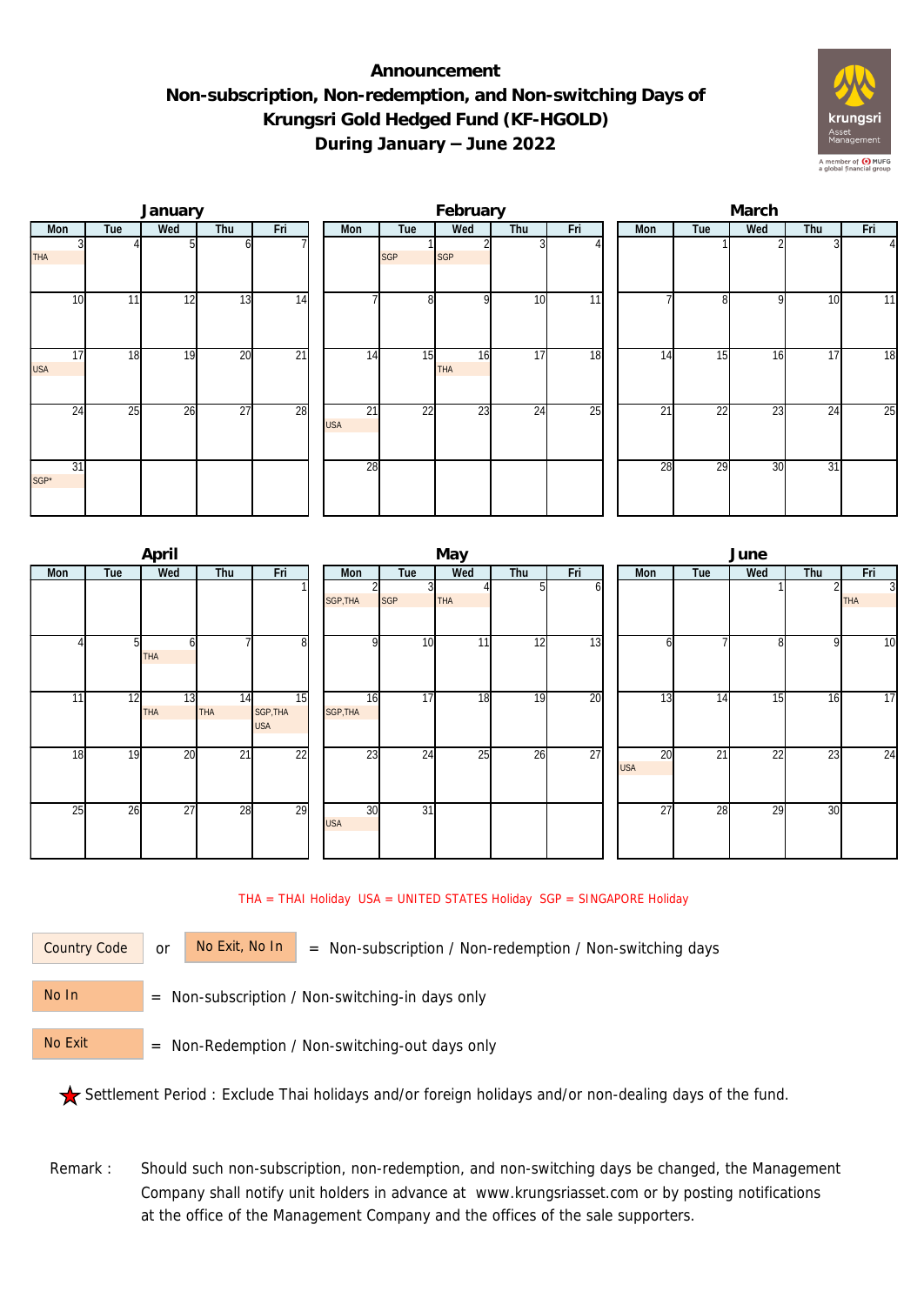## **Announcement Non-subscription, Non-redemption, and Non-switching Days of Krungsri Gold Hedged Fund (KF-HGOLD) During January – June 2022**



|                  |     | January |                 |                 |                               |                 | February         |                 |     | March |     |                 |     |     |                |  |
|------------------|-----|---------|-----------------|-----------------|-------------------------------|-----------------|------------------|-----------------|-----|-------|-----|-----------------|-----|-----|----------------|--|
| Mon              | Tue | Wed     | Thu             | Fri             | Mon                           | Tue             | Wed              | Thu             | Fri |       | Mon | Tue             | Wed | Thu | Fri            |  |
| <b>THA</b>       |     |         |                 |                 |                               | <b>SGP</b>      | <b>SGP</b>       |                 |     |       |     |                 |     |     | 4 <sub>l</sub> |  |
| 10               | 11  | 12      | 13              | $\overline{14}$ |                               | 8 <sup>1</sup>  | O                | 10              | 11  |       |     | $\Omega$        | Q   | 10  | 11             |  |
| 17<br><b>USA</b> | 18  | 19      | 20              | $\overline{21}$ | 14                            | 15              | 16<br><b>THA</b> | 17              | 18  |       | 14  | 15              | 16  | 17  | 18             |  |
| 24               | 25  | 26      | $\overline{27}$ | 28              | $\overline{21}$<br><b>USA</b> | $\overline{22}$ | 23               | $2\overline{4}$ | 25  |       | 21  | $\overline{22}$ | 23  | 24  | 25             |  |
| 31<br>SGP*       |     |         |                 |                 | 28                            |                 |                  |                 |     |       | 28  | 29              | 30  | 31  |                |  |

|     |     | April           |                  |                              |                  |                 | May |     |     | June |                  |                 |                 |     |                              |  |
|-----|-----|-----------------|------------------|------------------------------|------------------|-----------------|-----|-----|-----|------|------------------|-----------------|-----------------|-----|------------------------------|--|
| Mon | Tue | Wed             | Thu              | Fri                          | Mon              | Tue             | Wed | Thu | Fri |      | Mon              | Tue             | Wed             | Thu | Fri                          |  |
|     |     |                 |                  |                              | SGP, THA         | SGP             | THA | 5   | ΩI  |      |                  |                 |                 |     | $\overline{3}$<br><b>THA</b> |  |
|     | 51  | n<br><b>THA</b> |                  | 8                            | <sup>Q</sup>     | 10              | 11  | 12  | 13  |      | n                |                 | 8               | 9   | 10                           |  |
| 11  | 12  | 13<br>THA       | 14<br><b>THA</b> | 15<br>SGP, THA<br><b>USA</b> | 16<br>SGP, THA   | 17              | 18  | 19  | 20  |      | 13               | 14              | 15              | 16  | 17                           |  |
| 18  | 19  | 20              | $\overline{21}$  | $\overline{22}$              | 23               | 24              | 25  | 26  | 27  |      | 20<br><b>USA</b> | $\overline{21}$ | $2\overline{2}$ | 23  | 24                           |  |
| 25  | 26  | $\overline{27}$ | 28               | 29                           | 30<br><b>USA</b> | $\overline{31}$ |     |     |     |      | $\overline{27}$  | 28              | 29              | 30  |                              |  |

THA = THAI Holiday USA = UNITED STATES Holiday SGP = SINGAPORE Holiday

Country Code

or  $\overline{\phantom{a}}$  No Exit, No In  $\overline{\phantom{a}}$  = Non-subscription / Non-redemption / Non-switching days

 = Non-subscription / Non-switching-in days only No In

 = Non-Redemption / Non-switching-out days only No Exit

Settlement Period : Exclude Thai holidays and/or foreign holidays and/or non-dealing days of the fund.

Remark : Should such non-subscription, non-redemption, and non-switching days be changed, the Management Company shall notify unit holders in advance at www.krungsriasset.com or by posting notifications at the office of the Management Company and the offices of the sale supporters.